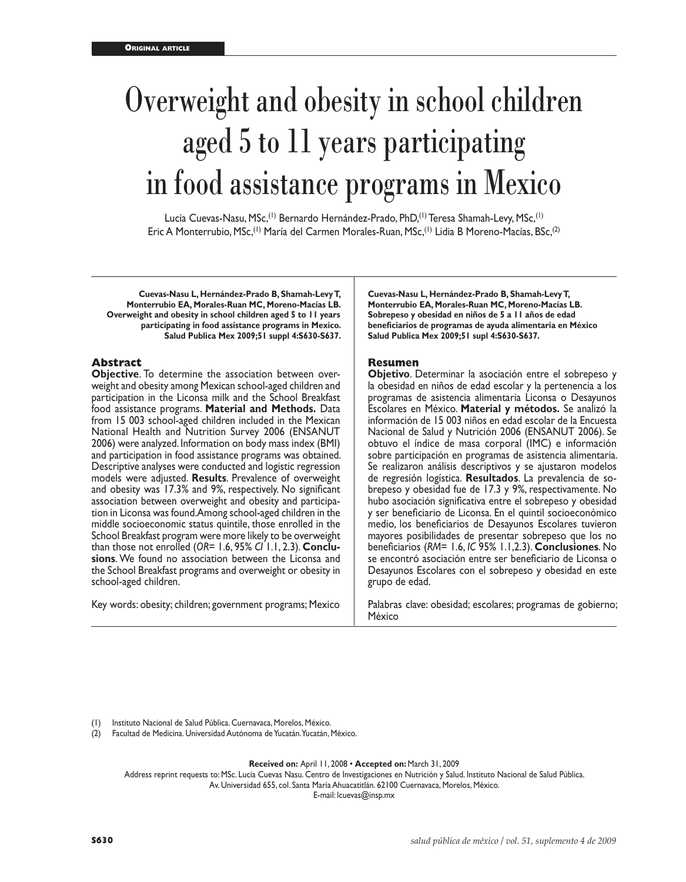# Overweight and obesity in school children aged 5 to 11 years participating in food assistance programs in Mexico

Lucía Cuevas-Nasu, MSc,<sup>(1)</sup> Bernardo Hernández-Prado, PhD,<sup>(1)</sup> Teresa Shamah-Levy, MSc,<sup>(1)</sup> Eric A Monterrubio, MSc,(1) María del Carmen Morales-Ruan, MSc,(1) Lidia B Moreno-Macías, BSc,(2)

**Cuevas-Nasu L, Hernández-Prado B, Shamah-Levy T, Monterrubio EA, Morales-Ruan MC, Moreno-Macías LB. Overweight and obesity in school children aged 5 to 11 years participating in food assistance programs in Mexico. Salud Publica Mex 2009;51 suppl 4:S630-S637.**

### **Abstract**

**Objective**. To determine the association between overweight and obesity among Mexican school-aged children and participation in the Liconsa milk and the School Breakfast food assistance programs. **Material and Methods.** Data from 15 003 school-aged children included in the Mexican National Health and Nutrition Survey 2006 (ENSANUT 2006) were analyzed. Information on body mass index (BMI) and participation in food assistance programs was obtained. Descriptive analyses were conducted and logistic regression models were adjusted. **Results**. Prevalence of overweight and obesity was 17.3% and 9%, respectively. No significant association between overweight and obesity and participa tion in Liconsa was found. Among school-aged children in the middle socioeconomic status quintile, those enrolled in the School Breakfast program were more likely to be overweight than those not enrolled (*OR*= 1.6, 95% *CI* 1.1, 2.3). **Conclu sions**. We found no association between the Liconsa and the School Breakfast programs and overweight or obesity in school-aged children.

Key words: obesity; children; government programs; Mexico

**Cuevas-Nasu L, Hernández-Prado B, Shamah-Levy T, Monterrubio EA, Morales-Ruan MC, Moreno-Macías LB. Sobrepeso y obesidad en niños de 5 a 11 años de edad beneficiarios de programas de ayuda alimentaria en México Salud Publica Mex 2009;51 supl 4:S630-S637.**

## **Resumen**

**Objetivo**. Determinar la asociación entre el sobrepeso y la obesidad en niños de edad escolar y la pertenencia a los programas de asistencia alimentaria Liconsa o Desayunos Escolares en México. **Material y métodos.** Se analizó la información de 15 003 niños en edad escolar de la Encuesta Nacional de Salud y Nutrición 2006 (ENSANUT 2006). Se obtuvo el índice de masa corporal (IMC) e información sobre participación en programas de asistencia alimentaria. Se realizaron análisis descriptivos y se ajustaron modelos de regresión logística. **Resultados**. La prevalencia de sobrepeso y obesidad fue de 17.3 y 9%, respectivamente. No hubo asociación significativa entre el sobrepeso y obesidad y ser beneficiario de Liconsa. En el quintil socioeconómico medio, los beneficiarios de Desayunos Escolares tuvieron mayores posibilidades de presentar sobrepeso que los no beneficiarios (*RM*= 1.6, *IC* 95% 1.1,2.3). **Conclusiones**. No se encontró asociación entre ser beneficiario de Liconsa o Desayunos Escolares con el sobrepeso y obesidad en este grupo de edad.

Palabras clave: obesidad; escolares; programas de gobierno; México

Instituto Nacional de Salud Pública. Cuernavaca, Morelos, México.

(2) Facultad de Medicina. Universidad Autónoma de Yucatán. Yucatán, México.

**Received on:** April 11, 2008 • **Accepted on:** March 31, 2009

Address reprint requests to: MSc. Lucía Cuevas Nasu. Centro de Investigaciones en Nutrición y Salud. Instituto Nacional de Salud Pública. Av. Universidad 655, col. Santa María Ahuacatitlán. 62100 Cuernavaca, Morelos, México.

E-mail: lcuevas@insp.mx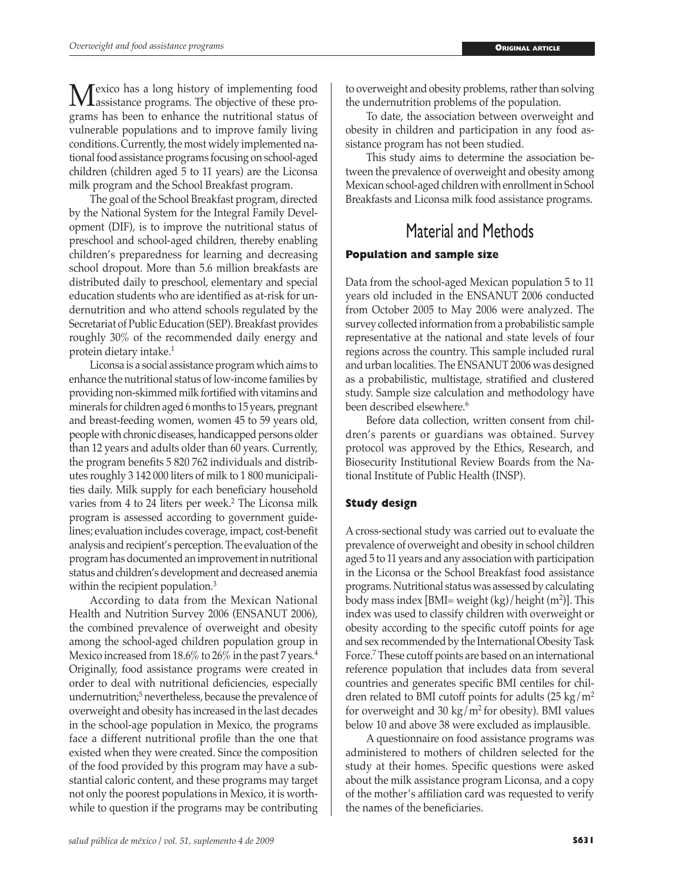**M**exico has a long history of implementing food<br>assistance programs. The objective of these pro-<br>argume has been to orkange the nutritional status of grams has been to enhance the nutritional status of vulnerable populations and to improve family living conditions. Currently, the most widely implemented national food assistance programs focusing on school-aged children (children aged 5 to 11 years) are the Liconsa milk program and the School Breakfast program.

The goal of the School Breakfast program, directed by the National System for the Integral Family Development (DIF), is to improve the nutritional status of preschool and school-aged children, thereby enabling children's preparedness for learning and decreasing school dropout. More than 5.6 million breakfasts are distributed daily to preschool, elementary and special education students who are identified as at-risk for undernutrition and who attend schools regulated by the Secretariat of Public Education (SEP). Breakfast provides roughly 30% of the recommended daily energy and protein dietary intake.<sup>1</sup>

Liconsa is a social assistance program which aims to enhance the nutritional status of low-income families by providing non-skimmed milk fortified with vitamins and minerals for children aged 6 months to 15 years, pregnant and breast-feeding women, women 45 to 59 years old, people with chronic diseases, handicapped persons older than 12 years and adults older than 60 years. Currently, the program benefits 5 820 762 individuals and distributes roughly 3 142 000 liters of milk to 1 800 municipalities daily. Milk supply for each beneficiary household varies from 4 to 24 liters per week.<sup>2</sup> The Liconsa milk program is assessed according to government guidelines; evaluation includes coverage, impact, cost-benefit analysis and recipient's perception. The evaluation of the program has documented an improvement in nutritional status and children's development and decreased anemia within the recipient population.<sup>3</sup>

According to data from the Mexican National Health and Nutrition Survey 2006 (ENSANUT 2006), the combined prevalence of overweight and obesity among the school-aged children population group in Mexico increased from 18.6% to 26% in the past 7 years.<sup>4</sup> Originally, food assistance programs were created in order to deal with nutritional deficiencies, especially undernutrition;5 nevertheless, because the prevalence of overweight and obesity has increased in the last decades in the school-age population in Mexico, the programs face a different nutritional profile than the one that existed when they were created. Since the composition of the food provided by this program may have a substantial caloric content, and these programs may target not only the poorest populations in Mexico, it is worthwhile to question if the programs may be contributing

to overweight and obesity problems, rather than solving the undernutrition problems of the population.

To date, the association between overweight and obesity in children and participation in any food assistance program has not been studied.

This study aims to determine the association between the prevalence of overweight and obesity among Mexican school-aged children with enrollment in School Breakfasts and Liconsa milk food assistance programs.

## Material and Methods

## **Population and sample size**

Data from the school-aged Mexican population 5 to 11 years old included in the ENSANUT 2006 conducted from October 2005 to May 2006 were analyzed. The survey collected information from a probabilistic sample representative at the national and state levels of four regions across the country. This sample included rural and urban localities. The ENSANUT 2006 was designed as a probabilistic, multistage, stratified and clustered study. Sample size calculation and methodology have been described elsewhere.<sup>6</sup>

Before data collection, written consent from children's parents or guardians was obtained. Survey protocol was approved by the Ethics, Research, and Biosecurity Institutional Review Boards from the National Institute of Public Health (INSP).

## **Study design**

A cross-sectional study was carried out to evaluate the prevalence of overweight and obesity in school children aged 5 to 11 years and any association with participation in the Liconsa or the School Breakfast food assistance programs. Nutritional status was assessed by calculating body mass index [BMI= weight (kg)/height (m2 )]. This index was used to classify children with overweight or obesity according to the specific cutoff points for age and sex recommended by the International Obesity Task Force.<sup>7</sup> These cutoff points are based on an international reference population that includes data from several countries and generates specific BMI centiles for children related to BMI cutoff points for adults  $(25 \text{ kg/m}^2)$ for overweight and 30 kg/m<sup>2</sup> for obesity). BMI values below 10 and above 38 were excluded as implausible.

A questionnaire on food assistance programs was administered to mothers of children selected for the study at their homes. Specific questions were asked about the milk assistance program Liconsa, and a copy of the mother's affiliation card was requested to verify the names of the beneficiaries.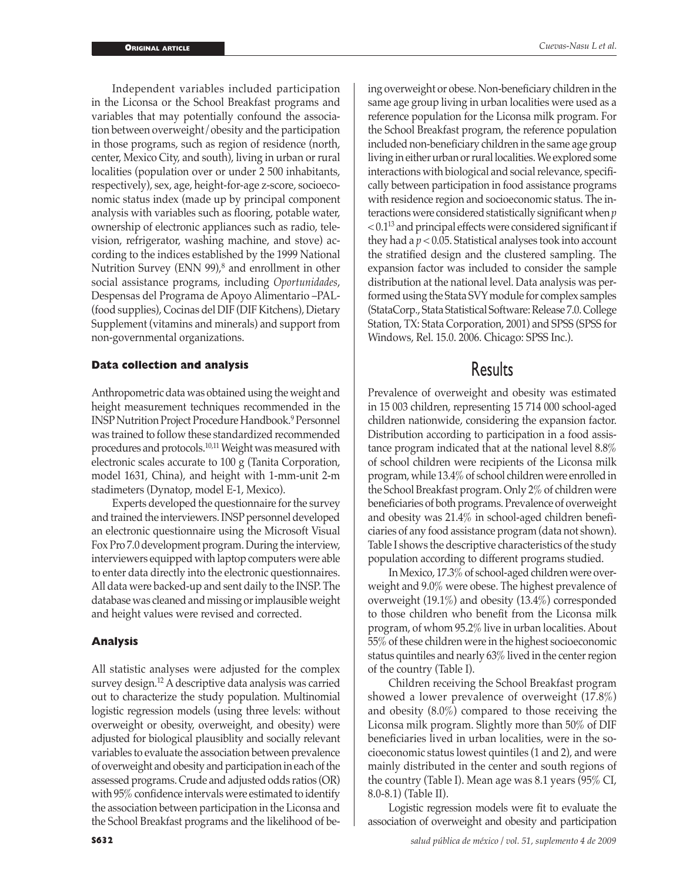Independent variables included participation in the Liconsa or the School Breakfast programs and variables that may potentially confound the association between overweight/obesity and the participation in those programs, such as region of residence (north, center, Mexico City, and south), living in urban or rural localities (population over or under 2 500 inhabitants, respectively), sex, age, height-for-age z-score, socioeconomic status index (made up by principal component analysis with variables such as flooring, potable water, ownership of electronic appliances such as radio, television, refrigerator, washing machine, and stove) according to the indices established by the 1999 National Nutrition Survey (ENN 99),<sup>8</sup> and enrollment in other social assistance programs, including *Oportunidades*, Despensas del Programa de Apoyo Alimentario –PAL- (food supplies), Cocinas del DIF (DIF Kitchens), Dietary Supplement (vitamins and minerals) and support from non-governmental organizations.

#### **Data collection and analysis**

Anthropometric data was obtained using the weight and height measurement techniques recommended in the INSP Nutrition Project Procedure Handbook.9 Personnel was trained to follow these standardized recommended procedures and protocols.10,11 Weight was measured with electronic scales accurate to 100 g (Tanita Corporation, model 1631, China), and height with 1-mm-unit 2-m stadimeters (Dynatop, model E-1, Mexico).

Experts developed the questionnaire for the survey and trained the interviewers. INSP personnel developed an electronic questionnaire using the Microsoft Visual Fox Pro 7.0 development program. During the interview, interviewers equipped with laptop computers were able to enter data directly into the electronic questionnaires. All data were backed-up and sent daily to the INSP. The database was cleaned and missing or implausible weight and height values were revised and corrected.

### **Analysis**

All statistic analyses were adjusted for the complex survey design.<sup>12</sup> A descriptive data analysis was carried out to characterize the study population. Multinomial logistic regression models (using three levels: without overweight or obesity, overweight, and obesity) were adjusted for biological plausiblity and socially relevant variables to evaluate the association between prevalence of overweight and obesity and participation in each of the assessed programs. Crude and adjusted odds ratios (OR) with 95% confidence intervals were estimated to identify the association between participation in the Liconsa and the School Breakfast programs and the likelihood of being overweight or obese. Non-beneficiary children in the same age group living in urban localities were used as a reference population for the Liconsa milk program. For the School Breakfast program, the reference population included non-beneficiary children in the same age group living in either urban or rural localities. We explored some interactions with biological and social relevance, specifically between participation in food assistance programs with residence region and socioeconomic status. The interactions were considered statistically significant when *p*  $< 0.1<sup>13</sup>$  and principal effects were considered significant if they had a *p* < 0.05. Statistical analyses took into account the stratified design and the clustered sampling. The expansion factor was included to consider the sample distribution at the national level. Data analysis was performed using the Stata SVY module for complex samples (StataCorp., Stata Statistical Software: Release 7.0. College Station, TX: Stata Corporation, 2001) and SPSS (SPSS for Windows, Rel. 15.0. 2006. Chicago: SPSS Inc.).

## Results

Prevalence of overweight and obesity was estimated in 15 003 children, representing 15 714 000 school-aged children nationwide, considering the expansion factor. Distribution according to participation in a food assistance program indicated that at the national level 8.8% of school children were recipients of the Liconsa milk program, while 13.4% of school children were enrolled in the School Breakfast program. Only 2% of children were beneficiaries of both programs. Prevalence of overweight and obesity was 21.4% in school-aged children beneficiaries of any food assistance program (data not shown). Table I shows the descriptive characteristics of the study population according to different programs studied.

In Mexico, 17.3% of school-aged children were overweight and 9.0% were obese. The highest prevalence of overweight (19.1%) and obesity (13.4%) corresponded to those children who benefit from the Liconsa milk program, of whom 95.2% live in urban localities. About 55% of these children were in the highest socioeconomic status quintiles and nearly 63% lived in the center region of the country (Table I).

Children receiving the School Breakfast program showed a lower prevalence of overweight (17.8%) and obesity (8.0%) compared to those receiving the Liconsa milk program. Slightly more than 50% of DIF beneficiaries lived in urban localities, were in the socioeconomic status lowest quintiles (1 and 2), and were mainly distributed in the center and south regions of the country (Table I). Mean age was 8.1 years (95% CI, 8.0-8.1) (Table II).

Logistic regression models were fit to evaluate the association of overweight and obesity and participation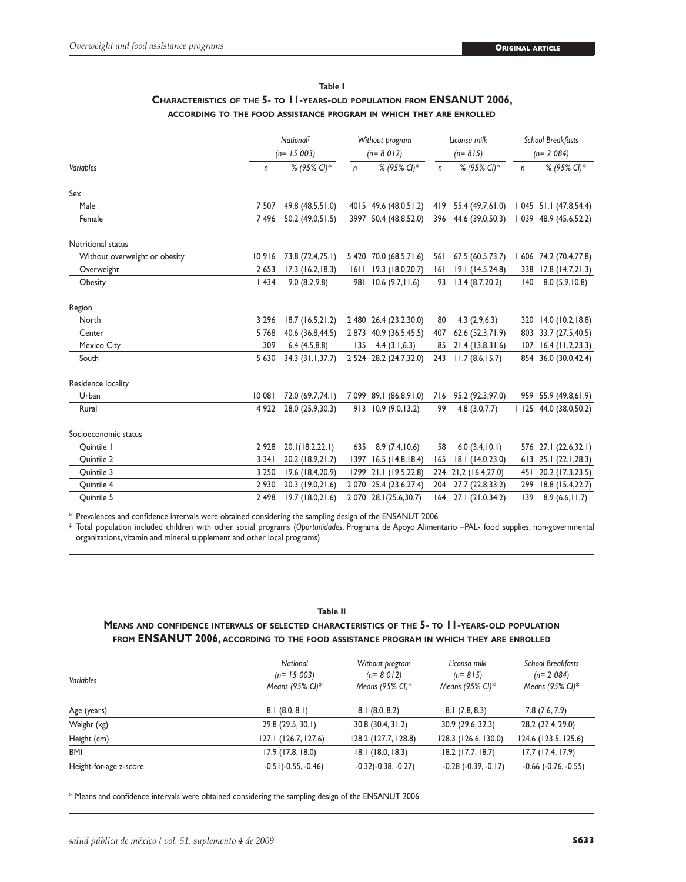## **Table I Characteristics of the 5- to 11-years-old population from ENSANUT 2006, according to the food assistance program in which they are enrolled**

|                               |         | National <sup>#</sup><br>$(n=15003)$ |              | Without program<br>$(n=8012)$ |              | Liconsa milk<br>$(n = 815)$ |      | <b>School Breakfasts</b><br>$(n=2084)$ |  |
|-------------------------------|---------|--------------------------------------|--------------|-------------------------------|--------------|-----------------------------|------|----------------------------------------|--|
|                               |         |                                      |              |                               |              |                             |      |                                        |  |
| Variables                     | n       | % (95% CI)*                          | $\mathsf{n}$ | % (95% CI)*                   | $\mathsf{n}$ | % (95% CI)*                 | n    | % (95% CI)*                            |  |
| Sex                           |         |                                      |              |                               |              |                             |      |                                        |  |
| Male                          | 7 5 0 7 | 49.8 (48.5,51.0)                     |              | 4015 49.6 (48.0,51.2)         |              | 419 55.4 (49.7,61.0)        |      | 1 045 51.1 (47.8,54.4)                 |  |
| Female                        | 7496    | 50.2 (49.0,51.5)                     |              | 3997 50.4 (48.8,52.0)         | 396          | 44.6 (39.0,50.3)            |      | 1 039 48.9 (45.6,52.2)                 |  |
| Nutritional status            |         |                                      |              |                               |              |                             |      |                                        |  |
| Without overweight or obesity | 10916   | 73.8 (72.4,75.1)                     |              | 5 420 70.0 (68.5,71.6)        | 561          | 67.5 (60.5,73.7)            |      | 1 606 74.2 (70.4,77.8)                 |  |
| Overweight                    | 2 6 5 3 | $17.3$ (16.2, 18.3)                  | 1611         | 19.3 (18.0,20.7)              | 6            | 19.1 (14.5,24.8)            | 338  | 17.8(14.7,21.3)                        |  |
| Obesity                       | 1434    | 9.0(8.2, 9.8)                        | 981          | 10.6(9.7, 11.6)               | 93           | 13.4(8.7,20.2)              | 140  | 8.0(5.9, 10.8)                         |  |
| Region                        |         |                                      |              |                               |              |                             |      |                                        |  |
| North                         | 3 2 9 6 | 18.7(16.5,21.2)                      |              | 2 480 26.4 (23.2,30.0)        | 80           | 4.3(2.9,6.3)                |      | 320 14.0 (10.2, 18.8)                  |  |
| Center                        | 5768    | 40.6 (36.8,44.5)                     |              | 2 873 40.9 (36.5,45.5)        | 407          | 62.6 (52.3,71.9)            | 803  | 33.7 (27.5,40.5)                       |  |
| Mexico City                   | 309     | 6.4(4.5,8.8)                         | 135          | 4.4(3.1,6.3)                  | 85           | 21.4(13.8,31.6)             | 107  | $16.4$ (11.2,23.3)                     |  |
| South                         | 5 630   | 34.3 (31.1,37.7)                     |              | 2 524 28.2 (24.7,32.0)        | 243          | 11.7(8.6, 15.7)             |      | 854 36.0 (30.0,42.4)                   |  |
| Residence locality            |         |                                      |              |                               |              |                             |      |                                        |  |
| Urban                         | 10 081  | 72.0 (69.7,74.1)                     |              | 7 099 89.1 (86.8,91.0)        | 716          | 95.2 (92.3,97.0)            |      | 959 55.9 (49.8,61.9)                   |  |
| Rural                         | 4 9 2 2 | 28.0 (25.9,30.3)                     |              | 913 10.9 (9.0,13.2)           | 99           | 4.8(3.0,7.7)                |      | 125 44.0 (38.0,50.2)                   |  |
| Socioeconomic status          |         |                                      |              |                               |              |                             |      |                                        |  |
| Quintile I                    | 2 9 2 8 | 20.1(18.2,22.1)                      | 635          | 8.9(7.4, 10.6)                | 58           | 6.0(3.4,10.1)               | 576  | 27.1 (22.6,32.1)                       |  |
| Quintile 2                    | 3 3 4 1 | 20.2 (18.9,21.7)                     | 1397         | $16.5$ (14.8, 18.4)           | 165          | 18.1 (14.0,23.0)            | 613  | 25.1 (22.1,28.3)                       |  |
| Quintile 3                    | 3 2 5 0 | 19.6 (18.4,20.9)                     | 1799         | 21.1 (19.5,22.8)              | 224          | 21,2 (16.4,27.0)            | 45 I | 20.2 (17.3,23.5)                       |  |
| Quintile 4                    | 2 9 3 0 | 20.3 (19.0,21.6)                     |              | 2 070 25.4 (23.6, 27.4)       | 204          | 27.7 (22.8,33.2)            | 299  | 18.8 (15.4,22.7)                       |  |
| Quintile 5                    | 2 4 9 8 | 19.7 (18.0,21.6)                     |              | 2 070 28.1(25.6,30.7)         |              | 164 27.1 (21.0,34.2)        | 139  | 8.9(6.6, 11.7)                         |  |

\* Prevalences and confidence intervals were obtained considering the sampling design of the ENSANUT 2006

‡ Total population included children with other social programs (*Oportunidades*, Programa de Apoyo Alimentario –PAL- food supplies, non-governmental organizations, vitamin and mineral supplement and other local programs)

#### **Table II**

## **Means and confidence intervals of selected characteristics of the 5- to 11-years-old population from ENSANUT 2006, according to the food assistance program in which they are enrolled**

| Variables              | National<br>$(n=15003)$<br>Means (95% CI)* | Without program<br>$(n=8012)$<br>Means (95% CI)* | Liconsa milk<br>$(n=815)$<br>Means (95% CI)* | <b>School Breakfasts</b><br>$(n=2084)$<br>Means (95% CI)* |
|------------------------|--------------------------------------------|--------------------------------------------------|----------------------------------------------|-----------------------------------------------------------|
| Age (years)            | 8.1(8.0, 8.1)                              | 8.1(8.0, 8.2)                                    | 8.1(7.8, 8.3)                                | 7.8(7.6, 7.9)                                             |
| Weight (kg)            | 29.8 (29.5, 30.1)                          | 30.8 (30.4, 31.2)                                | 30.9 (29.6, 32.3)                            | 28.2 (27.4, 29.0)                                         |
| Height (cm)            | 127.1 (126.7, 127.6)                       | 128.2 (127.7, 128.8)                             | 128.3 (126.6, 130.0)                         | 124.6 (123.5, 125.6)                                      |
| <b>BMI</b>             | 17.9(17.8, 18.0)                           | 18.1(18.0, 18.3)                                 | $18.2$ (17.7, 18.7)                          | $17.7$ (17.4, 17.9)                                       |
| Height-for-age z-score | $-0.51(-0.55, -0.46)$                      | $-0.32(-0.38, -0.27)$                            | $-0.28$ $(-0.39, -0.17)$                     | $-0.66$ $(-0.76, -0.55)$                                  |

\* Means and confidence intervals were obtained considering the sampling design of the ENSANUT 2006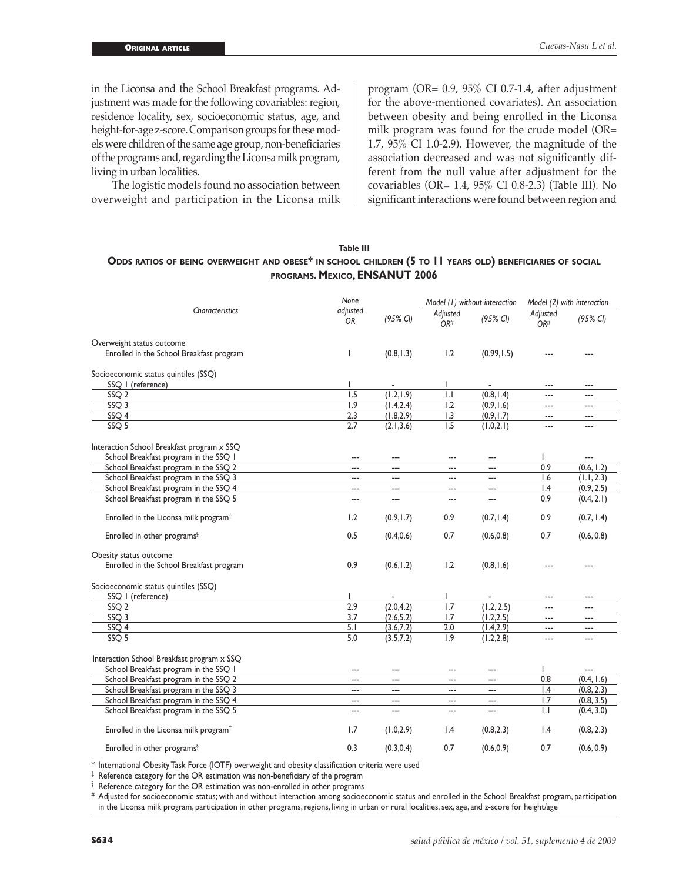in the Liconsa and the School Breakfast programs. Adjustment was made for the following covariables: region, residence locality, sex, socioeconomic status, age, and height-for-age z-score. Comparison groups for these models were children of the same age group, non-beneficiaries of the programs and, regarding the Liconsa milk program, living in urban localities.

The logistic models found no association between overweight and participation in the Liconsa milk program (OR= 0.9, 95% CI 0.7-1.4, after adjustment for the above-mentioned covariates). An association between obesity and being enrolled in the Liconsa milk program was found for the crude model (OR= 1.7, 95% CI 1.0-2.9). However, the magnitude of the association decreased and was not significantly different from the null value after adjustment for the covariables (OR= 1.4, 95% CI 0.8-2.3) (Table III). No significant interactions were found between region and

## **Table III Odds ratios of being overweight and obese\* in school children (5 to 11 years old) beneficiaries of social programs. Mexico, ENSANUT 2006**

|                                                   | None                  |                | Model (1) without interaction |                | Model (2) with interaction  |                     |
|---------------------------------------------------|-----------------------|----------------|-------------------------------|----------------|-----------------------------|---------------------|
| Characteristics                                   | adjusted<br><b>OR</b> | (95% CI)       | Adjusted<br>OR <sup>#</sup>   | (95% CI)       | Adjusted<br>OR <sup>#</sup> | $(95\% \text{ Cl})$ |
| Overweight status outcome                         |                       |                |                               |                |                             |                     |
| Enrolled in the School Breakfast program          |                       | (0.8, 1.3)     | 1.2                           | (0.99, 1.5)    |                             |                     |
| Socioeconomic status quintiles (SSQ)              |                       |                |                               |                |                             |                     |
| SSQ   (reference)                                 |                       |                |                               |                | ---                         | $-$                 |
| SSQ <sub>2</sub>                                  | 1.5                   | (1.2, 1.9)     | $\overline{1}$ .              | (0.8, 1.4)     | $\overline{a}$              | $\overline{a}$      |
| SSQ <sub>3</sub>                                  | 1.9                   | (1.4, 2.4)     | 1.2                           | (0.9, 1.6)     | ---                         | $\overline{a}$      |
| SSQ 4                                             | 2.3                   | (1.8, 2.9)     | 1.3                           | (0.9, 1.7)     | $\overline{a}$              | ---                 |
| SSQ <sub>5</sub>                                  | 2.7                   | (2.1, 3.6)     | 1.5                           | (1.0, 2.1)     | ---                         | ---                 |
| Interaction School Breakfast program x SSQ        |                       |                |                               |                |                             |                     |
| School Breakfast program in the SSQ 1             | ---                   | ---            | ---                           | ---            | L                           | $\overline{a}$      |
| School Breakfast program in the SSQ 2             | ---                   | ---            | ---                           | ---            | 0.9                         | (0.6, 1.2)          |
| School Breakfast program in the SSQ 3             | ---                   | $\overline{a}$ | $\overline{a}$                | $\overline{a}$ | 1.6                         | (1.1, 2.3)          |
| School Breakfast program in the SSQ 4             | ---                   | ---            | ---                           | ---            | 1.4                         | (0.9, 2.5)          |
| School Breakfast program in the SSQ 5             | ---                   | ---            | ---                           | ---            | 0.9                         | (0.4, 2.1)          |
| Enrolled in the Liconsa milk program <sup>‡</sup> | 1.2                   | (0.9, 1.7)     | 0.9                           | (0.7, 1.4)     | 0.9                         | (0.7, 1.4)          |
| Enrolled in other programs <sup>§</sup>           | 0.5                   | (0.4, 0.6)     | 0.7                           | (0.6, 0.8)     | 0.7                         | (0.6, 0.8)          |
| Obesity status outcome                            |                       |                |                               |                |                             |                     |
| Enrolled in the School Breakfast program          | 0.9                   | (0.6, 1.2)     | 1.2                           | (0.8, 1.6)     |                             |                     |
| Socioeconomic status quintiles (SSQ)              |                       |                |                               |                |                             |                     |
| SSQ   (reference)                                 |                       |                |                               |                | ---                         | ---                 |
| SSO <sub>2</sub>                                  | 2.9                   | (2.0, 4.2)     | 1.7                           | (1.2, 2.5)     | ---                         | $\overline{a}$      |
| SSO <sub>3</sub>                                  | 3.7                   | (2.6, 5.2)     | 1.7                           | (1.2, 2.5)     | ---                         | ---                 |
| SSQ 4                                             | 5.1                   | (3.6, 7.2)     | 2.0                           | (1.4, 2.9)     | ---                         | ---                 |
| SSO <sub>5</sub>                                  | 5.0                   | (3.5, 7.2)     | 1.9                           | (1.2, 2.8)     |                             |                     |
| Interaction School Breakfast program x SSQ        |                       |                |                               |                |                             |                     |
| School Breakfast program in the SSQ 1             | $- - -$               | ---            | ---                           | $---$          |                             |                     |
| School Breakfast program in the SSQ 2             | ---                   | ---            | $\overline{a}$                | $\overline{a}$ | 0.8                         | (0.4, 1.6)          |
| School Breakfast program in the SSQ 3             | ---                   | ---            | $\overline{a}$                | $\overline{a}$ | $\mathsf{I}$ .4             | (0.8, 2.3)          |
| School Breakfast program in the SSQ 4             | ---                   | ---            | ---                           | ---            | 1.7                         | (0.8, 3.5)          |
| School Breakfast program in the SSQ 5             | ---                   | ---            | ---                           | ---            | $\mathsf{L}$                | (0.4, 3.0)          |
| Enrolled in the Liconsa milk program <sup>#</sup> | 1.7                   | (1.0, 2.9)     | $\mathsf{I}$ .4               | (0.8, 2.3)     | 1.4                         | (0.8, 2.3)          |
| Enrolled in other programs <sup>§</sup>           | 0.3                   | (0.3, 0.4)     | 0.7                           | (0.6, 0.9)     | 0.7                         | (0.6, 0.9)          |

\* International Obesity Task Force (IOTF) overweight and obesity classification criteria were used

‡ Reference category for the OR estimation was non-beneficiary of the program

§ Reference category for the OR estimation was non-enrolled in other programs

# Adjusted for socioeconomic status; with and without interaction among socioeconomic status and enrolled in the School Breakfast program, participation in the Liconsa milk program, participation in other programs, regions, living in urban or rural localities, sex, age, and z-score for height/age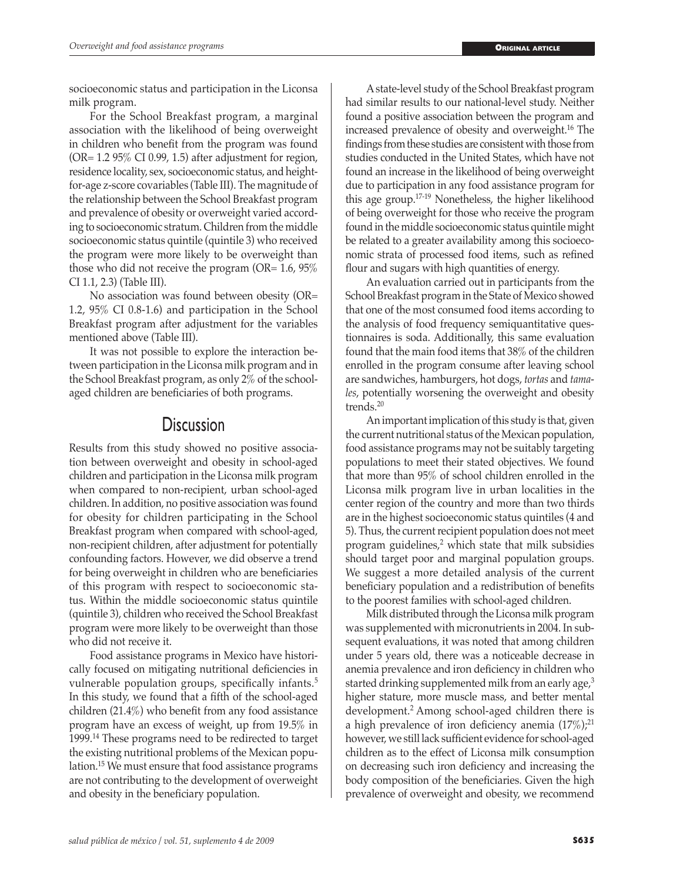socioeconomic status and participation in the Liconsa milk program.

For the School Breakfast program, a marginal association with the likelihood of being overweight in children who benefit from the program was found  $(OR = 1.295\% \text{ CI } 0.99, 1.5)$  after adjustment for region, residence locality, sex, socioeconomic status, and heightfor-age z-score covariables (Table III). The magnitude of the relationship between the School Breakfast program and prevalence of obesity or overweight varied according to socioeconomic stratum. Children from the middle socioeconomic status quintile (quintile 3) who received the program were more likely to be overweight than those who did not receive the program (OR= 1.6, 95% CI 1.1, 2.3) (Table III).

No association was found between obesity (OR= 1.2, 95% CI 0.8-1.6) and participation in the School Breakfast program after adjustment for the variables mentioned above (Table III).

It was not possible to explore the interaction between participation in the Liconsa milk program and in the School Breakfast program, as only 2% of the schoolaged children are beneficiaries of both programs.

## **Discussion**

Results from this study showed no positive association between overweight and obesity in school-aged children and participation in the Liconsa milk program when compared to non-recipient, urban school-aged children. In addition, no positive association was found for obesity for children participating in the School Breakfast program when compared with school-aged, non-recipient children, after adjustment for potentially confounding factors. However, we did observe a trend for being overweight in children who are beneficiaries of this program with respect to socioeconomic status. Within the middle socioeconomic status quintile (quintile 3), children who received the School Breakfast program were more likely to be overweight than those who did not receive it.

Food assistance programs in Mexico have historically focused on mitigating nutritional deficiencies in vulnerable population groups, specifically infants.<sup>5</sup> In this study, we found that a fifth of the school-aged children (21.4%) who benefit from any food assistance program have an excess of weight, up from 19.5% in 1999.14 These programs need to be redirected to target the existing nutritional problems of the Mexican population.15 We must ensure that food assistance programs are not contributing to the development of overweight and obesity in the beneficiary population.

A state-level study of the School Breakfast program had similar results to our national-level study. Neither found a positive association between the program and increased prevalence of obesity and overweight.16 The findings from these studies are consistent with those from studies conducted in the United States, which have not found an increase in the likelihood of being overweight due to participation in any food assistance program for this age group.17-19 Nonetheless, the higher likelihood of being overweight for those who receive the program found in the middle socioeconomic status quintile might be related to a greater availability among this socioeconomic strata of processed food items, such as refined flour and sugars with high quantities of energy.

An evaluation carried out in participants from the School Breakfast program in the State of Mexico showed that one of the most consumed food items according to the analysis of food frequency semiquantitative questionnaires is soda. Additionally, this same evaluation found that the main food items that 38% of the children enrolled in the program consume after leaving school are sandwiches, hamburgers, hot dogs, *tortas* and *tamales*, potentially worsening the overweight and obesity trends.20

An important implication of this study is that, given the current nutritional status of the Mexican population, food assistance programs may not be suitably targeting populations to meet their stated objectives. We found that more than 95% of school children enrolled in the Liconsa milk program live in urban localities in the center region of the country and more than two thirds are in the highest socioeconomic status quintiles (4 and 5). Thus, the current recipient population does not meet program guidelines,<sup>2</sup> which state that milk subsidies should target poor and marginal population groups. We suggest a more detailed analysis of the current beneficiary population and a redistribution of benefits to the poorest families with school-aged children.

Milk distributed through the Liconsa milk program was supplemented with micronutrients in 2004. In subsequent evaluations, it was noted that among children under 5 years old, there was a noticeable decrease in anemia prevalence and iron deficiency in children who started drinking supplemented milk from an early age,<sup>3</sup> higher stature, more muscle mass, and better mental development.2 Among school-aged children there is a high prevalence of iron deficiency anemia  $(17\%)$ ;<sup>21</sup> however, we still lack sufficient evidence for school-aged children as to the effect of Liconsa milk consumption on decreasing such iron deficiency and increasing the body composition of the beneficiaries. Given the high prevalence of overweight and obesity, we recommend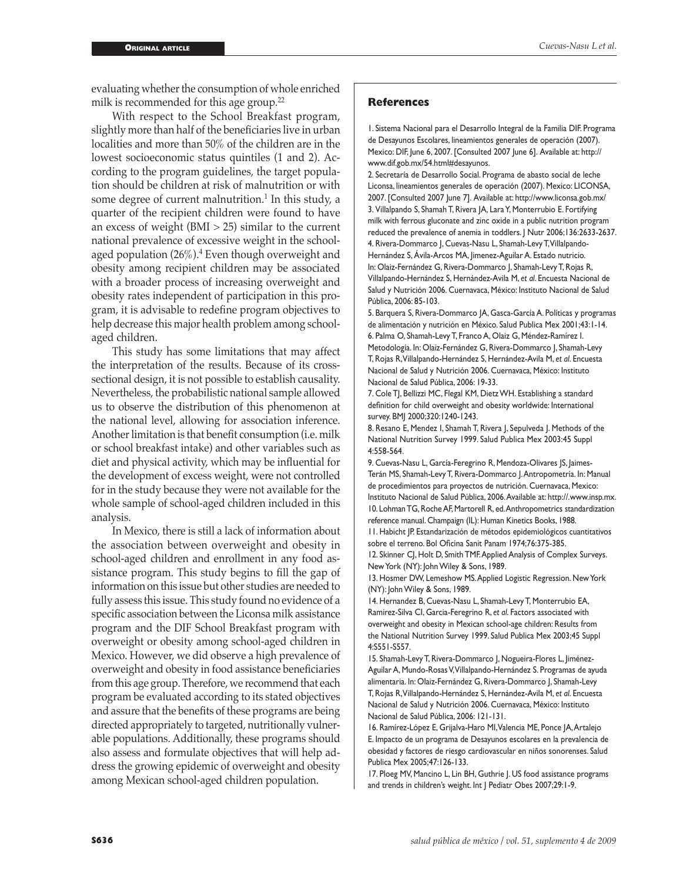evaluating whether the consumption of whole enriched milk is recommended for this age group.<sup>22</sup>

With respect to the School Breakfast program, slightly more than half of the beneficiaries live in urban localities and more than 50% of the children are in the lowest socioeconomic status quintiles (1 and 2). According to the program guidelines, the target population should be children at risk of malnutrition or with some degree of current malnutrition.<sup>1</sup> In this study, a quarter of the recipient children were found to have an excess of weight  $(BMI > 25)$  similar to the current national prevalence of excessive weight in the schoolaged population (26%).<sup>4</sup> Even though overweight and obesity among recipient children may be associated with a broader process of increasing overweight and obesity rates independent of participation in this program, it is advisable to redefine program objectives to help decrease this major health problem among schoolaged children.

This study has some limitations that may affect the interpretation of the results. Because of its crosssectional design, it is not possible to establish causality. Nevertheless, the probabilistic national sample allowed us to observe the distribution of this phenomenon at the national level, allowing for association inference. Another limitation is that benefit consumption (i.e. milk or school breakfast intake) and other variables such as diet and physical activity, which may be influential for the development of excess weight, were not controlled for in the study because they were not available for the whole sample of school-aged children included in this analysis.

In Mexico, there is still a lack of information about the association between overweight and obesity in school-aged children and enrollment in any food assistance program. This study begins to fill the gap of information on this issue but other studies are needed to fully assess this issue. This study found no evidence of a specific association between the Liconsa milk assistance program and the DIF School Breakfast program with overweight or obesity among school-aged children in Mexico. However, we did observe a high prevalence of overweight and obesity in food assistance beneficiaries from this age group. Therefore, we recommend that each program be evaluated according to its stated objectives and assure that the benefits of these programs are being directed appropriately to targeted, nutritionally vulnerable populations. Additionally, these programs should also assess and formulate objectives that will help address the growing epidemic of overweight and obesity among Mexican school-aged children population.

#### **References**

1. Sistema Nacional para el Desarrollo Integral de la Familia DIF. Programa de Desayunos Escolares, lineamientos generales de operación (2007). Mexico: DIF, June 6, 2007. [Consulted 2007 June 6]. Available at: http:// www.dif.gob.mx/54.html#desayunos.

2. Secretaría de Desarrollo Social. Programa de abasto social de leche Liconsa, lineamientos generales de operación (2007). Mexico: LICONSA, 2007. [Consulted 2007 June 7]. Available at: http://www.liconsa.gob.mx/ 3. Villalpando S, Shamah T, Rivera JA, Lara Y, Monterrubio E. Fortifying milk with ferrous gluconate and zinc oxide in a public nutrition program reduced the prevalence of anemia in toddlers. | Nutr 2006;136:2633-2637. 4. Rivera-Dommarco J, Cuevas-Nasu L, Shamah-Levy T, Villalpando-Hernández S, Ávila-Arcos MA, Jimenez-Aguilar A. Estado nutricio. In: Olaiz-Fernández G, Rivera-Dommarco J, Shamah-Levy T, Rojas R, Villalpando-Hernández S, Hernández-Avila M, *et al*. Encuesta Nacional de Salud y Nutrición 2006. Cuernavaca, México: Instituto Nacional de Salud Pública, 2006: 85-103.

5. Barquera S, Rivera-Dommarco JA, Gasca-García A. Políticas y programas de alimentación y nutrición en México. Salud Publica Mex 2001;43:1-14. 6. Palma O, Shamah-Levy T, Franco A, Olaiz G, Méndez-Ramírez I. Metodología. In: Olaiz-Fernández G, Rivera-Dommarco J, Shamah-Levy T, Rojas R, Villalpando-Hernández S, Hernández-Avila M, *et al*. Encuesta Nacional de Salud y Nutrición 2006. Cuernavaca, México: Instituto Nacional de Salud Pública, 2006: 19-33.

7. Cole TJ, Bellizzi MC, Flegal KM, Dietz WH. Establishing a standard definition for child overweight and obesity worldwide: International survey. BMJ 2000;320:1240-1243.

8. Resano E, Mendez I, Shamah T, Rivera J, Sepulveda J. Methods of the National Nutrition Survey 1999. Salud Publica Mex 2003:45 Suppl 4:558-564.

9. Cuevas-Nasu L, García-Feregrino R, Mendoza-Olivares JS, Jaimes-Terán MS, Shamah-Levy T, Rivera-Dommarco J. Antropometría. In: Manual de procedimientos para proyectos de nutrición. Cuernavaca, Mexico: Instituto Nacional de Salud Pública, 2006. Available at: http://.www.insp.mx. 10. Lohman TG, Roche AF, Martorell R, ed. Anthropometrics standardization reference manual. Champaign (IL): Human Kinetics Books, 1988.

11. Habicht JP. Estandarización de métodos epidemiológicos cuantitativos sobre el terreno. Bol Oficina Sanit Panam 1974;76:375-385.

12. Skinner CJ, Holt D, Smith TMF. Applied Analysis of Complex Surveys. New York (NY): John Wiley & Sons, 1989.

13. Hosmer DW, Lemeshow MS. Applied Logistic Regression. New York (NY): John Wiley & Sons, 1989.

14. Hernandez B, Cuevas-Nasu L, Shamah-Levy T, Monterrubio EA, Ramirez-Silva CI, Garcia-Feregrino R, *et al*. Factors associated with overweight and obesity in Mexican school-age children: Results from the National Nutrition Survey 1999. Salud Publica Mex 2003;45 Suppl 4:S551-S557.

15. Shamah-Levy T, Rivera-Dommarco J, Nogueira-Flores L, Jiménez-Aguilar A, Mundo-Rosas V, Villalpando-Hernández S. Programas de ayuda alimentaria. In: Olaiz-Fernández G, Rivera-Dommarco J, Shamah-Levy T, Rojas R, Villalpando-Hernández S, Hernández-Avila M, *et al*. Encuesta Nacional de Salud y Nutrición 2006. Cuernavaca, México: Instituto Nacional de Salud Pública, 2006: 121-131.

16. Ramírez-López E, Grijalva-Haro MI, Valencia ME, Ponce JA, Artalejo E. Impacto de un programa de Desayunos escolares en la prevalencia de obesidad y factores de riesgo cardiovascular en niños sonorenses. Salud Publica Mex 2005;47:126-133.

17. Ploeg MV, Mancino L, Lin BH, Guthrie J. US food assistance programs and trends in children's weight. Int J Pediatr Obes 2007;29:1-9.